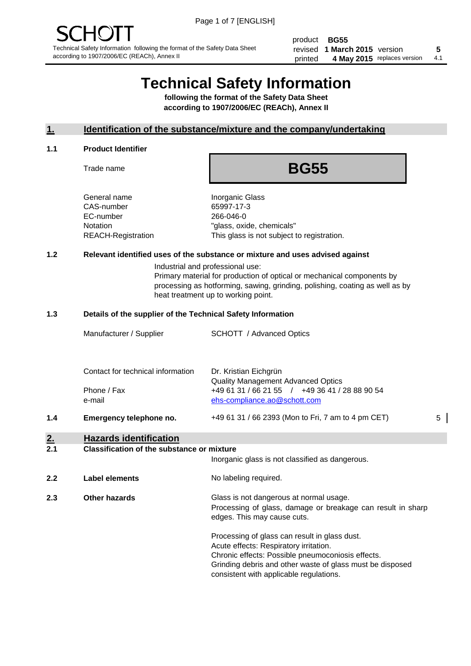product **BG55** revised **5 1 March 2015** version printed 4 May 2015 replaces version 4.1

# **Technical Safety Information**

**following the format of the Safety Data Sheet according to 1907/2006/EC (REACh), Annex II**

#### **1. Identification of the substance/mixture and the company/undertaking**

#### **1.1 Product Identifier**

Trade name

## **BG55**

General name **Inorganic Glass** CAS-number 65997-17-3 EC-number 266-046-0

Notation "glass, oxide, chemicals" REACH-Registration This glass is not subject to registration.

#### **1.2 Relevant identified uses of the substance or mixture and uses advised against**

Industrial and professional use: Primary material for production of optical or mechanical components by processing as hotforming, sawing, grinding, polishing, coating as well as by heat treatment up to working point.

#### **1.3 Details of the supplier of the Technical Safety Information**

|     | Manufacturer / Supplier                          | SCHOTT / Advanced Optics                                                                                             |   |
|-----|--------------------------------------------------|----------------------------------------------------------------------------------------------------------------------|---|
|     | Contact for technical information<br>Phone / Fax | Dr. Kristian Eichgrün<br><b>Quality Management Advanced Optics</b><br>+49 61 31 / 66 21 55 / +49 36 41 / 28 88 90 54 |   |
| 1.4 | e-mail<br>Emergency telephone no.                | ehs-compliance.ao@schott.com<br>+49 61 31 / 66 2393 (Mon to Fri, 7 am to 4 pm CET)                                   | 5 |
| 2.  | <b>Hazards identification</b>                    |                                                                                                                      |   |

#### **2.1 Classification of the substance or mixture**

|     |                      | Inorganic glass is not classified as dangerous.                                                                                                                                                                                                      |
|-----|----------------------|------------------------------------------------------------------------------------------------------------------------------------------------------------------------------------------------------------------------------------------------------|
| 2.2 | Label elements       | No labeling required.                                                                                                                                                                                                                                |
| 2.3 | <b>Other hazards</b> | Glass is not dangerous at normal usage.<br>Processing of glass, damage or breakage can result in sharp<br>edges. This may cause cuts.                                                                                                                |
|     |                      | Processing of glass can result in glass dust.<br>Acute effects: Respiratory irritation.<br>Chronic effects: Possible pneumoconiosis effects.<br>Grinding debris and other waste of glass must be disposed<br>consistent with applicable regulations. |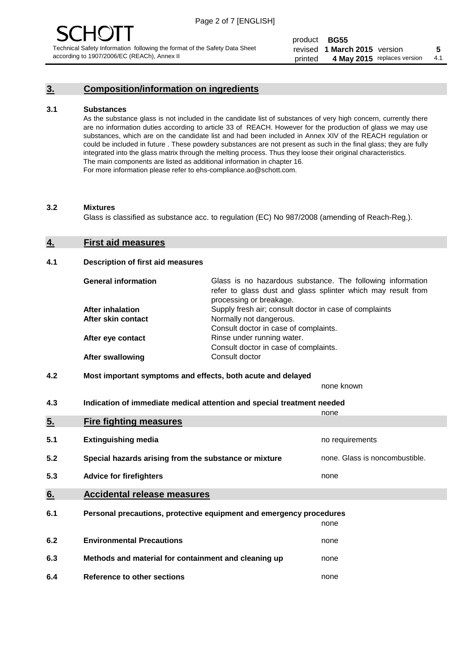## **3. Composition/information on ingredients**

#### **3.1 Substances**

As the substance glass is not included in the candidate list of substances of very high concern, currently there are no information duties according to article 33 of REACH. However for the production of glass we may use substances, which are on the candidate list and had been included in Annex XIV of the REACH regulation or could be included in future . These powdery substances are not present as such in the final glass; they are fully integrated into the glass matrix through the melting process. Thus they loose their original characteristics. The main components are listed as additional information in chapter 16. For more information please refer to ehs-compliance.ao@schott.com.

#### **3.2 Mixtures**

Glass is classified as substance acc. to regulation (EC) No 987/2008 (amending of Reach-Reg.).

#### **4. First aid measures**

#### **4.1 Description of first aid measures**

| <b>General information</b> | Glass is no hazardous substance. The following information<br>refer to glass dust and glass splinter which may result from<br>processing or breakage. |
|----------------------------|-------------------------------------------------------------------------------------------------------------------------------------------------------|
| <b>After inhalation</b>    | Supply fresh air; consult doctor in case of complaints                                                                                                |
| After skin contact         | Normally not dangerous.                                                                                                                               |
|                            | Consult doctor in case of complaints.                                                                                                                 |
| After eye contact          | Rinse under running water.                                                                                                                            |
|                            | Consult doctor in case of complaints.                                                                                                                 |
| <b>After swallowing</b>    | Consult doctor                                                                                                                                        |

#### **4.2 Most important symptoms and effects, both acute and delayed**

none known

**4.3 Indication of immediate medical attention and special treatment needed** 

|     |                                                                     | none                           |
|-----|---------------------------------------------------------------------|--------------------------------|
| 5.  | <b>Fire fighting measures</b>                                       |                                |
| 5.1 | <b>Extinguishing media</b>                                          | no requirements                |
| 5.2 | Special hazards arising from the substance or mixture               | none. Glass is noncombustible. |
| 5.3 | <b>Advice for firefighters</b>                                      | none                           |
| 6.  | <b>Accidental release measures</b>                                  |                                |
| 6.1 | Personal precautions, protective equipment and emergency procedures |                                |
|     |                                                                     | none                           |
| 6.2 | <b>Environmental Precautions</b>                                    | none                           |
| 6.3 | Methods and material for containment and cleaning up                | none                           |
| 6.4 | Reference to other sections                                         | none                           |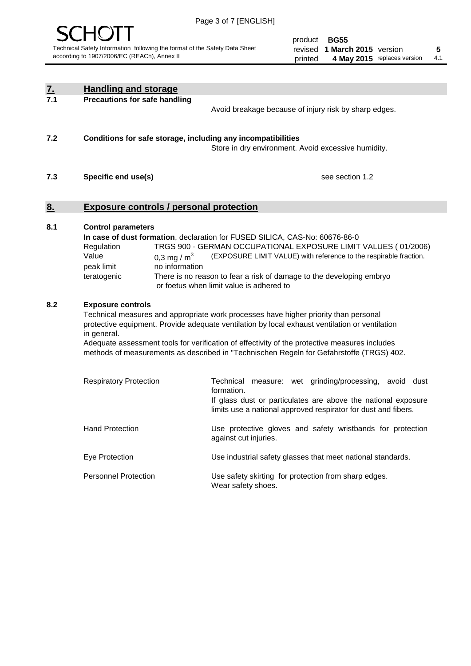

product **BG55** revised **5 1 March 2015** version printed 4 May 2015 replaces version 4.1

| $\underline{7}$ . | <b>Handling and storage</b>                                                                                                                                                                                                                                                                                                                                                                                                    |                                                                                                                                                                                                                                                                                                                                        |
|-------------------|--------------------------------------------------------------------------------------------------------------------------------------------------------------------------------------------------------------------------------------------------------------------------------------------------------------------------------------------------------------------------------------------------------------------------------|----------------------------------------------------------------------------------------------------------------------------------------------------------------------------------------------------------------------------------------------------------------------------------------------------------------------------------------|
| 7.1               | <b>Precautions for safe handling</b>                                                                                                                                                                                                                                                                                                                                                                                           | Avoid breakage because of injury risk by sharp edges.                                                                                                                                                                                                                                                                                  |
| 7.2               | Conditions for safe storage, including any incompatibilities                                                                                                                                                                                                                                                                                                                                                                   | Store in dry environment. Avoid excessive humidity.                                                                                                                                                                                                                                                                                    |
| 7.3               | Specific end use(s)                                                                                                                                                                                                                                                                                                                                                                                                            | see section 1.2                                                                                                                                                                                                                                                                                                                        |
| 8.                | <b>Exposure controls / personal protection</b>                                                                                                                                                                                                                                                                                                                                                                                 |                                                                                                                                                                                                                                                                                                                                        |
| 8.1               | <b>Control parameters</b><br>Regulation<br>Value<br>0.3 mg / $m^3$<br>peak limit<br>no information<br>teratogenic                                                                                                                                                                                                                                                                                                              | In case of dust formation, declaration for FUSED SILICA, CAS-No: 60676-86-0<br>TRGS 900 - GERMAN OCCUPATIONAL EXPOSURE LIMIT VALUES (01/2006)<br>(EXPOSURE LIMIT VALUE) with reference to the respirable fraction.<br>There is no reason to fear a risk of damage to the developing embryo<br>or foetus when limit value is adhered to |
| 8.2               | <b>Exposure controls</b><br>Technical measures and appropriate work processes have higher priority than personal<br>protective equipment. Provide adequate ventilation by local exhaust ventilation or ventilation<br>in general.<br>Adequate assessment tools for verification of effectivity of the protective measures includes<br>methods of measurements as described in "Technischen Regeln for Gefahrstoffe (TRGS) 402. |                                                                                                                                                                                                                                                                                                                                        |
|                   | <b>Respiratory Protection</b>                                                                                                                                                                                                                                                                                                                                                                                                  | Technical<br>measure: wet grinding/processing, avoid dust<br>formation.<br>If glass dust or particulates are above the national exposure<br>limits use a national approved respirator for dust and fibers.                                                                                                                             |
|                   | <b>Hand Protection</b>                                                                                                                                                                                                                                                                                                                                                                                                         | Use protective gloves and safety wristbands for protection<br>against cut injuries.                                                                                                                                                                                                                                                    |
|                   | Eye Protection                                                                                                                                                                                                                                                                                                                                                                                                                 | Use industrial safety glasses that meet national standards.                                                                                                                                                                                                                                                                            |
|                   | <b>Personnel Protection</b>                                                                                                                                                                                                                                                                                                                                                                                                    | Use safety skirting for protection from sharp edges.<br>Wear safety shoes.                                                                                                                                                                                                                                                             |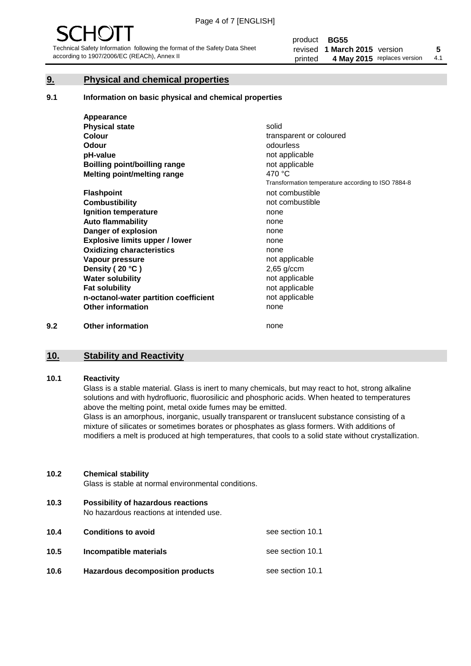### **9. Physical and chemical properties**

#### **9.1 Information on basic physical and chemical properties**

|     | Appearance                            |                                                    |
|-----|---------------------------------------|----------------------------------------------------|
|     | <b>Physical state</b>                 | solid                                              |
|     | <b>Colour</b>                         | transparent or coloured                            |
|     | Odour                                 | odourless                                          |
|     | pH-value                              | not applicable                                     |
|     | <b>Boilling point/boilling range</b>  | not applicable                                     |
|     | Melting point/melting range           | 470 °C                                             |
|     |                                       | Transformation temperature according to ISO 7884-8 |
|     | <b>Flashpoint</b>                     | not combustible                                    |
|     | <b>Combustibility</b>                 | not combustible                                    |
|     | Ignition temperature                  | none                                               |
|     | <b>Auto flammability</b>              | none                                               |
|     | Danger of explosion                   | none                                               |
|     | <b>Explosive limits upper / lower</b> | none                                               |
|     | <b>Oxidizing characteristics</b>      | none                                               |
|     | Vapour pressure                       | not applicable                                     |
|     | Density (20 °C)                       | $2,65$ g/ccm                                       |
|     | <b>Water solubility</b>               | not applicable                                     |
|     | <b>Fat solubility</b>                 | not applicable                                     |
|     | n-octanol-water partition coefficient | not applicable                                     |
|     | <b>Other information</b>              | none                                               |
| 9.2 | <b>Other information</b>              | none                                               |

# **10. Stability and Reactivity**

#### **10.1 Reactivity**

Glass is a stable material. Glass is inert to many chemicals, but may react to hot, strong alkaline solutions and with hydrofluoric, fluorosilicic and phosphoric acids. When heated to temperatures above the melting point, metal oxide fumes may be emitted.

Glass is an amorphous, inorganic, usually transparent or translucent substance consisting of a mixture of silicates or sometimes borates or phosphates as glass formers. With additions of modifiers a melt is produced at high temperatures, that cools to a solid state without crystallization.

#### **10.2 Chemical stability**

Glass is stable at normal environmental conditions.

**10.3 Possibility of hazardous reactions** 

No hazardous reactions at intended use.

| 10.4 | <b>Conditions to avoid</b>       | see section 10.1 |
|------|----------------------------------|------------------|
| 10.5 | Incompatible materials           | see section 10.1 |
| 10.6 | Hazardous decomposition products | see section 10.1 |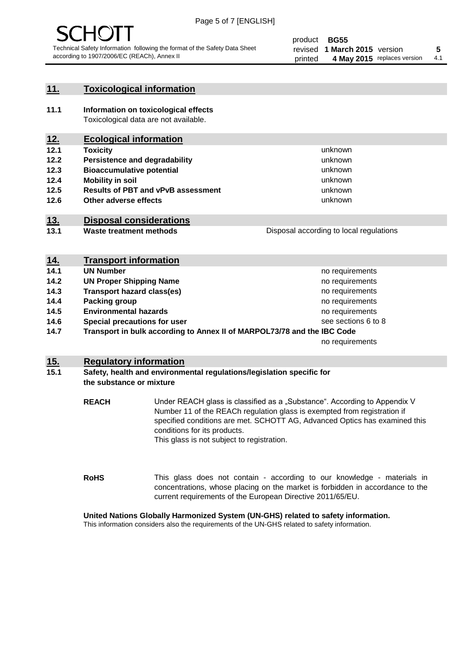

#### **11. Toxicological information**

**11.1 Information on toxicological effects** Toxicological data are not available.

## **12. Ecological information**

- **12.1 Toxicity**
- **12.2 Persistence and degradability**
- **12.3 Bioaccumulative potential**
- **12.4 Mobility in soil**
- **12.5 Results of PBT and vPvB assessment**
- **12.6 Other adverse effects**

#### **13. Disposal considerations**

**13.1 Waste treatment methods**

Disposal according to local regulations

unknown unknown unknown unknown

unknown unknown

| <u>14.</u> | <b>Transport information</b>                                            |                     |
|------------|-------------------------------------------------------------------------|---------------------|
| 14.1       | <b>UN Number</b>                                                        | no requirements     |
| 14.2       | <b>UN Proper Shipping Name</b>                                          | no requirements     |
| 14.3       | <b>Transport hazard class(es)</b>                                       | no requirements     |
| 14.4       | Packing group                                                           | no requirements     |
| 14.5       | <b>Environmental hazards</b>                                            | no requirements     |
| 14.6       | Special precautions for user                                            | see sections 6 to 8 |
| 14.7       | Transport in bulk according to Annex II of MARPOL73/78 and the IBC Code |                     |
|            |                                                                         | no requirements     |

#### **15. Regulatory information**

#### **15.1 Safety, health and environmental regulations/legislation specific for the substance or mixture**

**REACH** Under REACH glass is classified as a "Substance". According to Appendix V Number 11 of the REACh regulation glass is exempted from registration if specified conditions are met. SCHOTT AG, Advanced Optics has examined this conditions for its products. This glass is not subject to registration.

**RoHS** This glass does not contain - according to our knowledge - materials in concentrations, whose placing on the market is forbidden in accordance to the current requirements of the European Directive 2011/65/EU.

#### **United Nations Globally Harmonized System (UN-GHS) related to safety information.**

This information considers also the requirements of the UN-GHS related to safety information.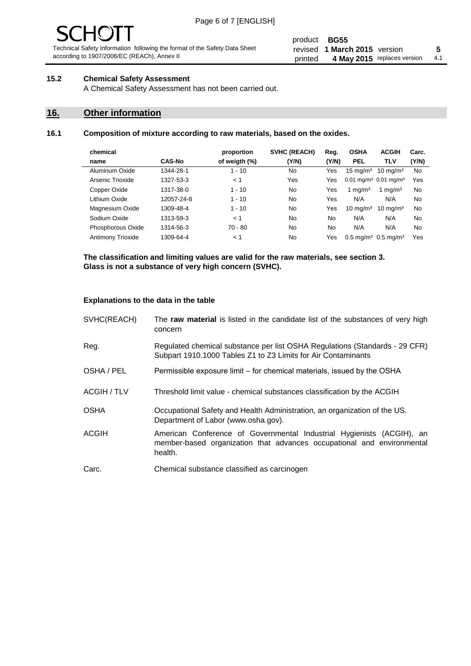#### product **BG55** revised **5 1 March 2015** version printed 4 May 2015 replaces version 4.1

#### **15.2 Chemical Safety Assessment**

A Chemical Safety Assessment has not been carried out.

### **16. Other information**

#### **16.1 Composition of mixture according to raw materials, based on the oxides.**

|               | proportion    | <b>SVHC (REACH)</b> | Reg.  | <b>OSHA</b>         | <b>ACGIH</b>        | Carc.                                                                                           |
|---------------|---------------|---------------------|-------|---------------------|---------------------|-------------------------------------------------------------------------------------------------|
| <b>CAS-No</b> | of weigth (%) | (Y/N)               | (Y/N) | <b>PEL</b>          | <b>TLV</b>          | (Y/N)                                                                                           |
| 1344-28-1     | $1 - 10$      | No.                 | Yes   | $15 \text{ mg/m}^3$ | $10 \text{ mg/m}^3$ | No                                                                                              |
| 1327-53-3     | < 1           | Yes                 | Yes   |                     |                     | Yes                                                                                             |
| 1317-38-0     | $1 - 10$      | No.                 | Yes   | 1 mg/m $3$          | 1 mg/m <sup>3</sup> | No                                                                                              |
| 12057-24-8    | $1 - 10$      | No.                 | Yes   | N/A                 | N/A                 | <b>No</b>                                                                                       |
| 1309-48-4     | $1 - 10$      | No.                 | Yes   | $10 \text{ mg/m}^3$ | $10 \text{ mg/m}^3$ | No                                                                                              |
| 1313-59-3     | < 1           | No.                 | No    | N/A                 | N/A                 | No                                                                                              |
| 1314-56-3     | $70 - 80$     | No.                 | No    | N/A                 | N/A                 | <b>No</b>                                                                                       |
| 1309-64-4     | < 1           | No.                 | Yes   |                     |                     | Yes                                                                                             |
|               |               |                     |       |                     |                     | $0.01$ mg/m <sup>3</sup> $0.01$ mg/m <sup>3</sup><br>$0.5 \text{ mg/m}^3$ 0.5 mg/m <sup>3</sup> |

**The classification and limiting values are valid for the raw materials, see section 3. Glass is not a substance of very high concern (SVHC).**

#### **Explanations to the data in the table**

| SVHC(REACH)        | The raw material is listed in the candidate list of the substances of very high<br>concern                                                                 |
|--------------------|------------------------------------------------------------------------------------------------------------------------------------------------------------|
| Reg.               | Regulated chemical substance per list OSHA Regulations (Standards - 29 CFR)<br>Subpart 1910.1000 Tables Z1 to Z3 Limits for Air Contaminants               |
| OSHA / PEL         | Permissible exposure limit – for chemical materials, issued by the OSHA                                                                                    |
| <b>ACGIH / TLV</b> | Threshold limit value - chemical substances classification by the ACGIH                                                                                    |
| <b>OSHA</b>        | Occupational Safety and Health Administration, an organization of the US.<br>Department of Labor (www.osha.gov).                                           |
| <b>ACGIH</b>       | American Conference of Governmental Industrial Hygienists (ACGIH), an<br>member-based organization that advances occupational and environmental<br>health. |
| Carc.              | Chemical substance classified as carcinogen                                                                                                                |